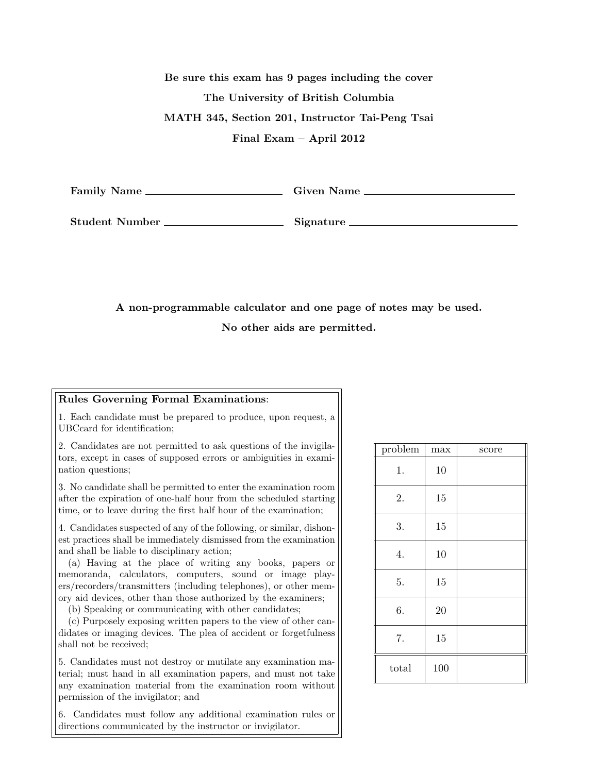Be sure this exam has 9 pages including the cover The University of British Columbia MATH 345, Section 201, Instructor Tai-Peng Tsai Final Exam – April 2012

Family Name Given Name

Student Number Signature

A non-programmable calculator and one page of notes may be used.

No other aids are permitted.

## Rules Governing Formal Examinations:

1. Each candidate must be prepared to produce, upon request, a UBCcard for identification;

2. Candidates are not permitted to ask questions of the invigilators, except in cases of supposed errors or ambiguities in examination questions;

3. No candidate shall be permitted to enter the examination room after the expiration of one-half hour from the scheduled starting time, or to leave during the first half hour of the examination;

4. Candidates suspected of any of the following, or similar, dishonest practices shall be immediately dismissed from the examination and shall be liable to disciplinary action;

(a) Having at the place of writing any books, papers or memoranda, calculators, computers, sound or image players/recorders/transmitters (including telephones), or other memory aid devices, other than those authorized by the examiners;

(b) Speaking or communicating with other candidates;

(c) Purposely exposing written papers to the view of other candidates or imaging devices. The plea of accident or forgetfulness shall not be received;

5. Candidates must not destroy or mutilate any examination material; must hand in all examination papers, and must not take any examination material from the examination room without permission of the invigilator; and

6. Candidates must follow any additional examination rules or directions communicated by the instructor or invigilator.

| problem | $_{\mathrm{max}}$ | score |
|---------|-------------------|-------|
| 1.      | 10                |       |
| 2.      | 15                |       |
| 3.      | 15                |       |
| 4.      | 10                |       |
| 5.      | 15                |       |
| 6.      | 20                |       |
| 7.      | 15                |       |
| total   | 100               |       |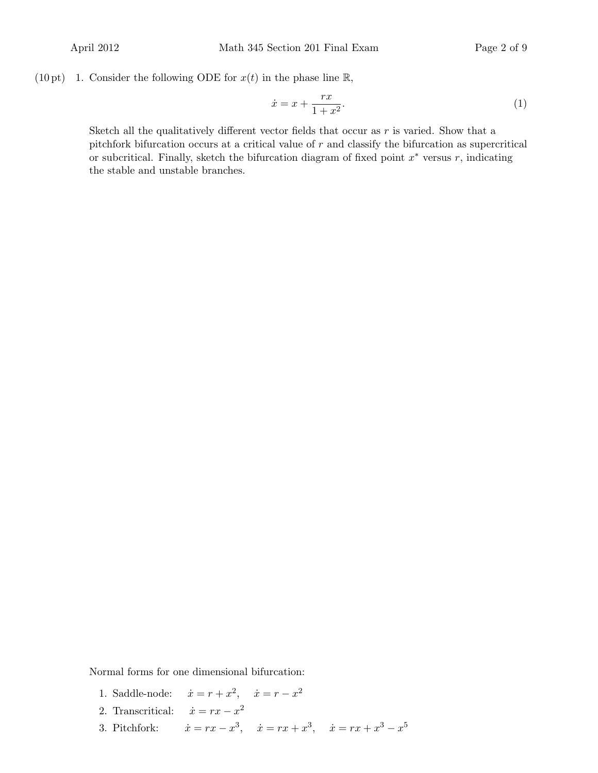(10 pt) 1. Consider the following ODE for  $x(t)$  in the phase line R,

$$
\dot{x} = x + \frac{rx}{1 + x^2}.\tag{1}
$$

Sketch all the qualitatively different vector fields that occur as  $r$  is varied. Show that a pitchfork bifurcation occurs at a critical value of  $r$  and classify the bifurcation as supercritical or subcritical. Finally, sketch the bifurcation diagram of fixed point  $x^*$  versus  $r$ , indicating the stable and unstable branches.

Normal forms for one dimensional bifurcation:

- 1. Saddle-node:  $\dot{x} = r + x^2, \quad \dot{x} = r x^2$
- 2. Transcritical:  $\dot{x} = rx x^2$
- 3. Pitchfork: 3,  $\dot{x} = rx + x^3$ ,  $\dot{x} = rx + x^3 - x^5$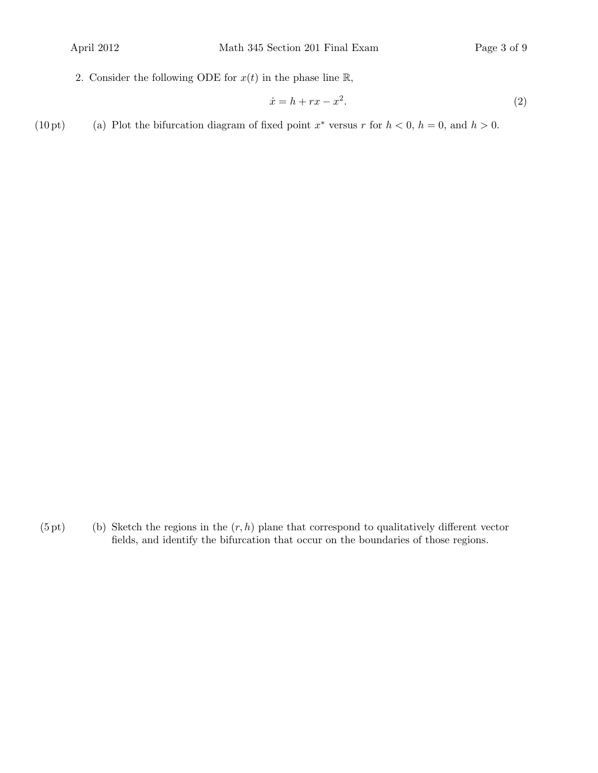2. Consider the following ODE for  $x(t)$  in the phase line  $\mathbb{R}$ ,

$$
\dot{x} = h + rx - x^2. \tag{2}
$$

(10 pt) (a) Plot the bifurcation diagram of fixed point  $x^*$  versus r for  $h < 0$ ,  $h = 0$ , and  $h > 0$ .

 $(5 \text{ pt})$  (b) Sketch the regions in the  $(r, h)$  plane that correspond to qualitatively different vector fields, and identify the bifurcation that occur on the boundaries of those regions.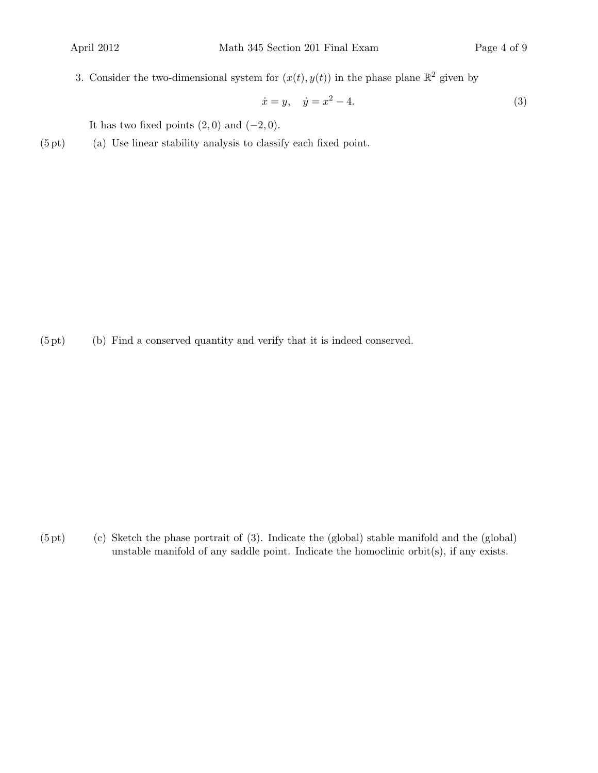3. Consider the two-dimensional system for  $(x(t), y(t))$  in the phase plane  $\mathbb{R}^2$  given by

$$
\dot{x} = y, \quad \dot{y} = x^2 - 4. \tag{3}
$$

It has two fixed points  $(2, 0)$  and  $(-2, 0)$ .

(5 pt) (a) Use linear stability analysis to classify each fixed point.

(5 pt) (b) Find a conserved quantity and verify that it is indeed conserved.

 $(5 \text{ pt})$  (c) Sketch the phase portrait of  $(3)$ . Indicate the (global) stable manifold and the (global) unstable manifold of any saddle point. Indicate the homoclinic orbit $(s)$ , if any exists.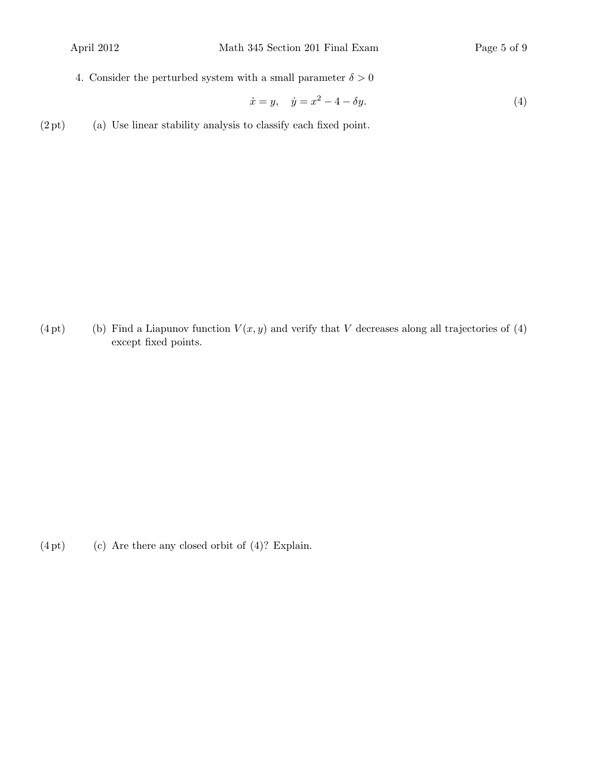4. Consider the perturbed system with a small parameter  $\delta > 0$ 

$$
\dot{x} = y, \quad \dot{y} = x^2 - 4 - \delta y. \tag{4}
$$

 $(2pt)$  (a) Use linear stability analysis to classify each fixed point.

(4 pt) (b) Find a Liapunov function  $V(x, y)$  and verify that V decreases along all trajectories of (4) except fixed points.

 $(4pt)$  (c) Are there any closed orbit of  $(4)?$  Explain.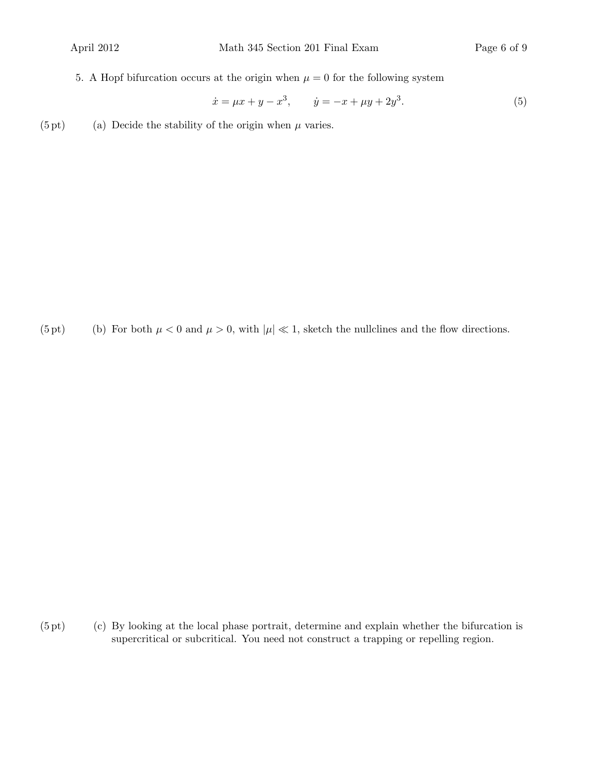5. A Hopf bifurcation occurs at the origin when  $\mu = 0$  for the following system

$$
\dot{x} = \mu x + y - x^3, \qquad \dot{y} = -x + \mu y + 2y^3. \tag{5}
$$

(5 pt) (a) Decide the stability of the origin when  $\mu$  varies.

(5 pt) (b) For both  $\mu < 0$  and  $\mu > 0$ , with  $|\mu| \ll 1$ , sketch the nullclines and the flow directions.

 $(5 \text{ pt})$  (c) By looking at the local phase portrait, determine and explain whether the bifurcation is supercritical or subcritical. You need not construct a trapping or repelling region.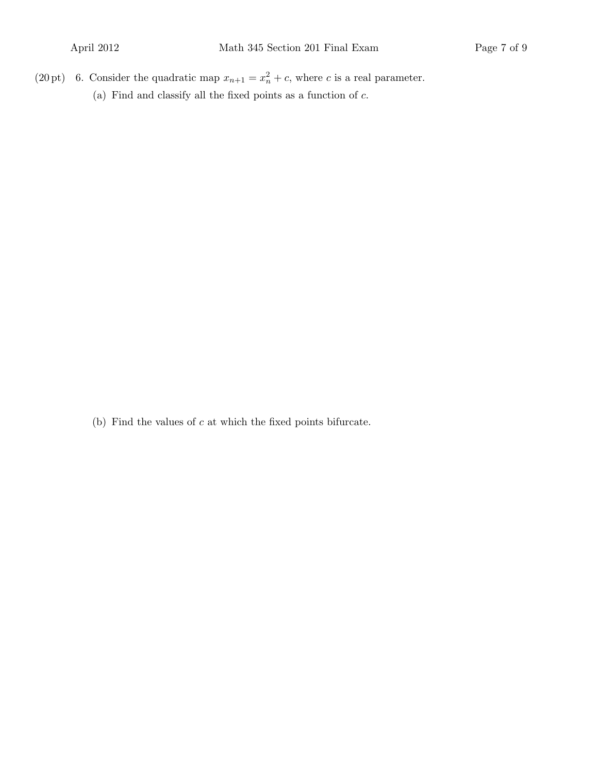(20 pt) 6. Consider the quadratic map  $x_{n+1} = x_n^2 + c$ , where c is a real parameter. (a) Find and classify all the fixed points as a function of  $c$ .

(b) Find the values of  $c$  at which the fixed points bifurcate.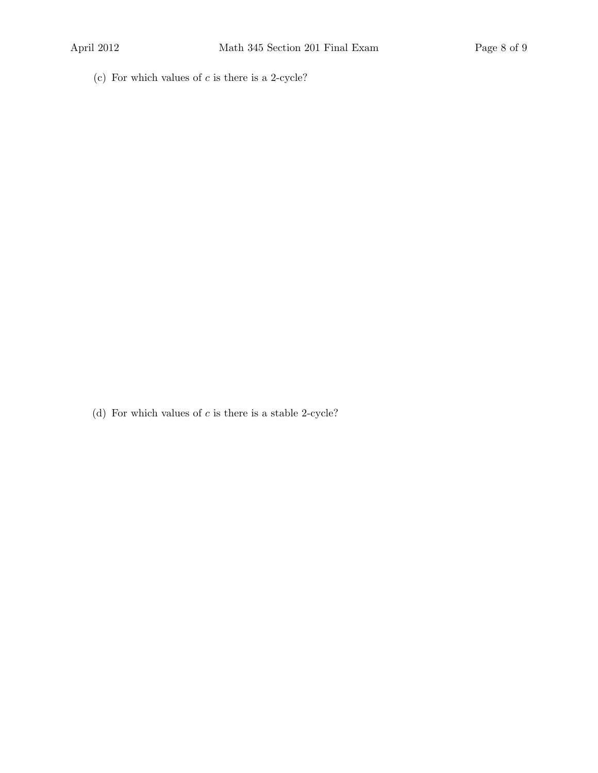(c) For which values of  $c$  is there is a 2-cycle?

(d) For which values of  $c$  is there is a stable 2-cycle?